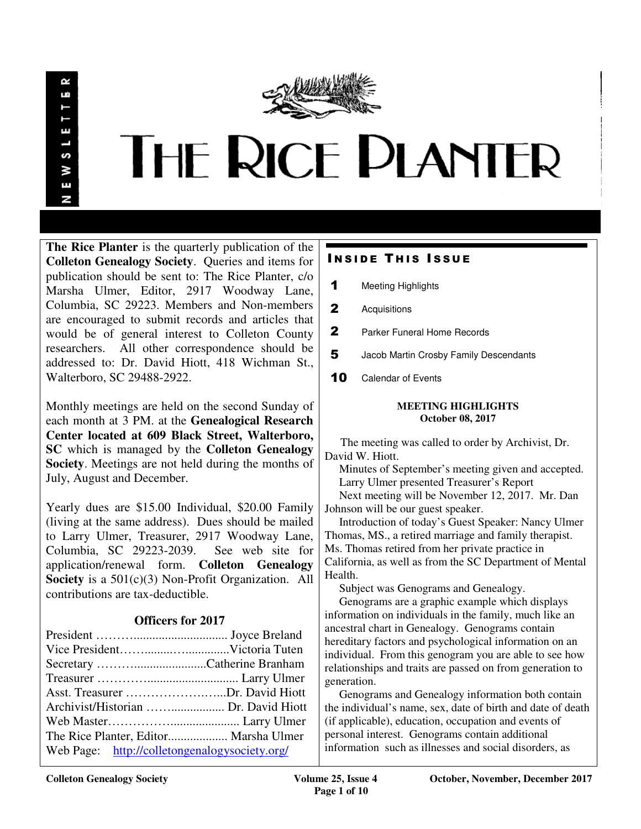

**The Rice Planter** is the quarterly publication of the **Colleton Genealogy Society**. Queries and items for publication should be sent to: The Rice Planter, c/o Marsha Ulmer, Editor, 2917 Woodway Lane, Columbia, SC 29223. Members and Non-members are encouraged to submit records and articles that would be of general interest to Colleton County researchers. All other correspondence should be addressed to: Dr. David Hiott, 418 Wichman St., Walterboro, SC 29488-2922.

Monthly meetings are held on the second Sunday of each month at 3 PM. at the **Genealogical Research Center located at 609 Black Street, Walterboro, SC** which is managed by the **Colleton Genealogy Society**. Meetings are not held during the months of July, August and December.

Yearly dues are \$15.00 Individual, \$20.00 Family (living at the same address). Dues should be mailed to Larry Ulmer, Treasurer, 2917 Woodway Lane, Columbia, SC 29223-2039. See web site for application/renewal form. **Colleton Genealogy Society** is a 501(c)(3) Non-Profit Organization. All contributions are tax-deductible.

# **Officers for 2017**

| Asst. Treasurer Dr. David Hiott               |  |
|-----------------------------------------------|--|
|                                               |  |
|                                               |  |
| The Rice Planter, Editor Marsha Ulmer         |  |
| Web Page: http://colletongenalogysociety.org/ |  |

# **INSIDE THIS ISSUE**

- 1 Meeting Highlights
- 2 Acquisitions
- 2 Parker Funeral Home Records
- 5 Jacob Martin Crosby Family Descendants
- 10 Calendar of Events

#### **MEETING HIGHLIGHTS October 08, 2017**

 The meeting was called to order by Archivist, Dr. David W. Hiott.

 Minutes of September's meeting given and accepted. Larry Ulmer presented Treasurer's Report

 Next meeting will be November 12, 2017. Mr. Dan Johnson will be our guest speaker.

 Introduction of today's Guest Speaker: Nancy Ulmer Thomas, MS., a retired marriage and family therapist. Ms. Thomas retired from her private practice in California, as well as from the SC Department of Mental Health.

Subject was Genograms and Genealogy.

 Genograms are a graphic example which displays information on individuals in the family, much like an ancestral chart in Genealogy. Genograms contain hereditary factors and psychological information on an individual. From this genogram you are able to see how relationships and traits are passed on from generation to generation.

 Genograms and Genealogy information both contain the individual's name, sex, date of birth and date of death (if applicable), education, occupation and events of personal interest. Genograms contain additional information such as illnesses and social disorders, as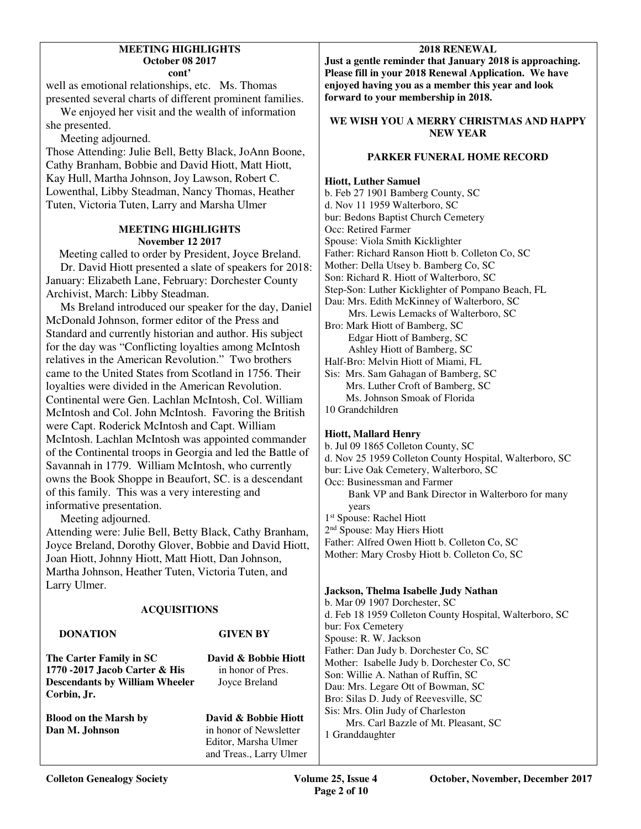#### **MEETING HIGHLIGHTS October 08 2017 cont'**

well as emotional relationships, etc. Ms. Thomas presented several charts of different prominent families.

 We enjoyed her visit and the wealth of information she presented.

Meeting adjourned.

Those Attending: Julie Bell, Betty Black, JoAnn Boone, Cathy Branham, Bobbie and David Hiott, Matt Hiott, Kay Hull, Martha Johnson, Joy Lawson, Robert C. Lowenthal, Libby Steadman, Nancy Thomas, Heather Tuten, Victoria Tuten, Larry and Marsha Ulmer

### **MEETING HIGHLIGHTS November 12 2017**

 Meeting called to order by President, Joyce Breland. Dr. David Hiott presented a slate of speakers for 2018: January: Elizabeth Lane, February: Dorchester County Archivist, March: Libby Steadman.

 Ms Breland introduced our speaker for the day, Daniel McDonald Johnson, former editor of the Press and Standard and currently historian and author. His subject for the day was "Conflicting loyalties among McIntosh relatives in the American Revolution." Two brothers came to the United States from Scotland in 1756. Their loyalties were divided in the American Revolution. Continental were Gen. Lachlan McIntosh, Col. William McIntosh and Col. John McIntosh. Favoring the British were Capt. Roderick McIntosh and Capt. William McIntosh. Lachlan McIntosh was appointed commander of the Continental troops in Georgia and led the Battle of Savannah in 1779. William McIntosh, who currently owns the Book Shoppe in Beaufort, SC. is a descendant of this family. This was a very interesting and informative presentation.

Meeting adjourned.

Attending were: Julie Bell, Betty Black, Cathy Branham, Joyce Breland, Dorothy Glover, Bobbie and David Hiott, Joan Hiott, Johnny Hiott, Matt Hiott, Dan Johnson, Martha Johnson, Heather Tuten, Victoria Tuten, and Larry Ulmer.

# **ACQUISITIONS**

# **DONATION GIVEN BY The Carter Family in SC David & Bobbie Hiott 1770 -2017 Jacob Carter & His** in honor of Pres. **Descendants by William Wheeler** Joyce Breland **Corbin, Jr. Blood on the Marsh by David & Bobbie Hiott**<br> **Dan M. Johnson**<br> **Dan M. Johnson** in honor of Newsletter Editor, Marsha Ulmer

# **2018 RENEWAL**

**Just a gentle reminder that January 2018 is approaching. Please fill in your 2018 Renewal Application. We have enjoyed having you as a member this year and look forward to your membership in 2018.** 

# **WE WISH YOU A MERRY CHRISTMAS AND HAPPY NEW YEAR**

# **PARKER FUNERAL HOME RECORD**

### **Hiott, Luther Samuel**

b. Feb 27 1901 Bamberg County, SC d. Nov 11 1959 Walterboro, SC bur: Bedons Baptist Church Cemetery Occ: Retired Farmer Spouse: Viola Smith Kicklighter Father: Richard Ranson Hiott b. Colleton Co, SC Mother: Della Utsey b. Bamberg Co, SC Son: Richard R. Hiott of Walterboro, SC Step-Son: Luther Kicklighter of Pompano Beach, FL Dau: Mrs. Edith McKinney of Walterboro, SC Mrs. Lewis Lemacks of Walterboro, SC Bro: Mark Hiott of Bamberg, SC Edgar Hiott of Bamberg, SC Ashley Hiott of Bamberg, SC Half-Bro: Melvin Hiott of Miami, FL Sis: Mrs. Sam Gahagan of Bamberg, SC Mrs. Luther Croft of Bamberg, SC Ms. Johnson Smoak of Florida 10 Grandchildren

### **Hiott, Mallard Henry**

b. Jul 09 1865 Colleton County, SC d. Nov 25 1959 Colleton County Hospital, Walterboro, SC bur: Live Oak Cemetery, Walterboro, SC Occ: Businessman and Farmer Bank VP and Bank Director in Walterboro for many years 1 st Spouse: Rachel Hiott 2<sup>nd</sup> Spouse: May Hiers Hiott Father: Alfred Owen Hiott b. Colleton Co, SC

Mother: Mary Crosby Hiott b. Colleton Co, SC

# **Jackson, Thelma Isabelle Judy Nathan**

b. Mar 09 1907 Dorchester, SC d. Feb 18 1959 Colleton County Hospital, Walterboro, SC bur: Fox Cemetery Spouse: R. W. Jackson Father: Dan Judy b. Dorchester Co, SC Mother: Isabelle Judy b. Dorchester Co, SC Son: Willie A. Nathan of Ruffin, SC Dau: Mrs. Legare Ott of Bowman, SC Bro: Silas D. Judy of Reevesville, SC Sis: Mrs. Olin Judy of Charleston Mrs. Carl Bazzle of Mt. Pleasant, SC 1 Granddaughter

and Treas., Larry Ulmer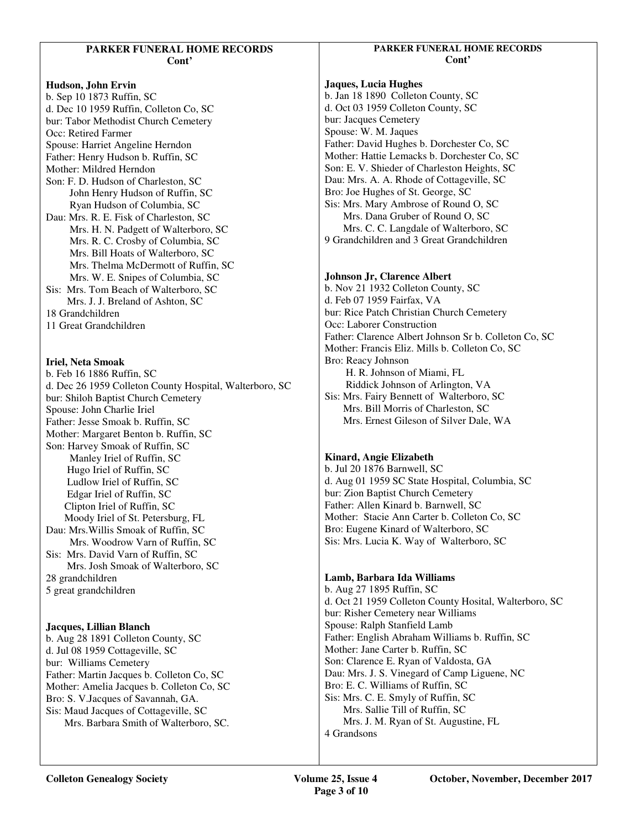#### **PARKER FUNERAL HOME RECORDS Cont'**

**Hudson, John Ervin**  b. Sep 10 1873 Ruffin, SC d. Dec 10 1959 Ruffin, Colleton Co, SC bur: Tabor Methodist Church Cemetery Occ: Retired Farmer Spouse: Harriet Angeline Herndon Father: Henry Hudson b. Ruffin, SC Mother: Mildred Herndon Son: F. D. Hudson of Charleston, SC John Henry Hudson of Ruffin, SC Ryan Hudson of Columbia, SC Dau: Mrs. R. E. Fisk of Charleston, SC Mrs. H. N. Padgett of Walterboro, SC Mrs. R. C. Crosby of Columbia, SC Mrs. Bill Hoats of Walterboro, SC Mrs. Thelma McDermott of Ruffin, SC Mrs. W. E. Snipes of Columbia, SC Sis: Mrs. Tom Beach of Walterboro, SC Mrs. J. J. Breland of Ashton, SC 18 Grandchildren

11 Great Grandchildren

**Iriel, Neta Smoak**  b. Feb 16 1886 Ruffin, SC d. Dec 26 1959 Colleton County Hospital, Walterboro, SC bur: Shiloh Baptist Church Cemetery Spouse: John Charlie Iriel Father: Jesse Smoak b. Ruffin, SC Mother: Margaret Benton b. Ruffin, SC Son: Harvey Smoak of Ruffin, SC Manley Iriel of Ruffin, SC Hugo Iriel of Ruffin, SC Ludlow Iriel of Ruffin, SC Edgar Iriel of Ruffin, SC Clipton Iriel of Ruffin, SC Moody Iriel of St. Petersburg, FL Dau: Mrs.Willis Smoak of Ruffin, SC Mrs. Woodrow Varn of Ruffin, SC Sis: Mrs. David Varn of Ruffin, SC Mrs. Josh Smoak of Walterboro, SC 28 grandchildren 5 great grandchildren

**Jacques, Lillian Blanch**  b. Aug 28 1891 Colleton County, SC d. Jul 08 1959 Cottageville, SC bur: Williams Cemetery Father: Martin Jacques b. Colleton Co, SC Mother: Amelia Jacques b. Colleton Co, SC Bro: S. V.Jacques of Savannah, GA. Sis: Maud Jacques of Cottageville, SC Mrs. Barbara Smith of Walterboro, SC.

## **PARKER FUNERAL HOME RECORDS Cont'**

# **Jaques, Lucia Hughes**

b. Jan 18 1890 Colleton County, SC d. Oct 03 1959 Colleton County, SC bur: Jacques Cemetery Spouse: W. M. Jaques Father: David Hughes b. Dorchester Co, SC Mother: Hattie Lemacks b. Dorchester Co, SC Son: E. V. Shieder of Charleston Heights, SC Dau: Mrs. A. A. Rhode of Cottageville, SC Bro: Joe Hughes of St. George, SC Sis: Mrs. Mary Ambrose of Round O, SC Mrs. Dana Gruber of Round O, SC Mrs. C. C. Langdale of Walterboro, SC 9 Grandchildren and 3 Great Grandchildren

# **Johnson Jr, Clarence Albert**

b. Nov 21 1932 Colleton County, SC d. Feb 07 1959 Fairfax, VA bur: Rice Patch Christian Church Cemetery Occ: Laborer Construction Father: Clarence Albert Johnson Sr b. Colleton Co, SC Mother: Francis Eliz. Mills b. Colleton Co, SC Bro: Reacy Johnson H. R. Johnson of Miami, FL Riddick Johnson of Arlington, VA Sis: Mrs. Fairy Bennett of Walterboro, SC Mrs. Bill Morris of Charleston, SC Mrs. Ernest Gileson of Silver Dale, WA

# **Kinard, Angie Elizabeth**

b. Jul 20 1876 Barnwell, SC d. Aug 01 1959 SC State Hospital, Columbia, SC bur: Zion Baptist Church Cemetery Father: Allen Kinard b. Barnwell, SC Mother: Stacie Ann Carter b. Colleton Co, SC Bro: Eugene Kinard of Walterboro, SC Sis: Mrs. Lucia K. Way of Walterboro, SC

# **Lamb, Barbara Ida Williams**

b. Aug 27 1895 Ruffin, SC d. Oct 21 1959 Colleton County Hosital, Walterboro, SC bur: Risher Cemetery near Williams Spouse: Ralph Stanfield Lamb Father: English Abraham Williams b. Ruffin, SC Mother: Jane Carter b. Ruffin, SC Son: Clarence E. Ryan of Valdosta, GA Dau: Mrs. J. S. Vinegard of Camp Liguene, NC Bro: E. C. Williams of Ruffin, SC Sis: Mrs. C. E. Smyly of Ruffin, SC Mrs. Sallie Till of Ruffin, SC Mrs. J. M. Ryan of St. Augustine, FL 4 Grandsons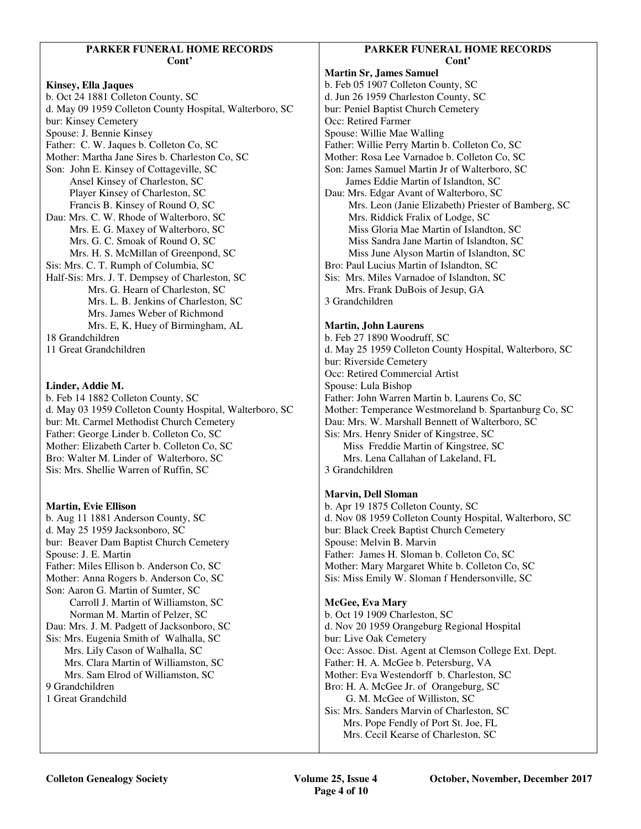#### **PARKER FUNERAL HOME RECORDS Cont'**

#### **Kinsey, Ella Jaques**

b. Oct 24 1881 Colleton County, SC d. May 09 1959 Colleton County Hospital, Walterboro, SC bur: Kinsey Cemetery Spouse: J. Bennie Kinsey Father: C. W. Jaques b. Colleton Co, SC Mother: Martha Jane Sires b. Charleston Co, SC Son: John E. Kinsey of Cottageville, SC Ansel Kinsey of Charleston, SC Player Kinsey of Charleston, SC Francis B. Kinsey of Round O, SC Dau: Mrs. C. W. Rhode of Walterboro, SC Mrs. E. G. Maxey of Walterboro, SC Mrs. G. C. Smoak of Round O, SC Mrs. H. S. McMillan of Greenpond, SC Sis: Mrs. C. T. Rumph of Columbia, SC Half-Sis: Mrs. J. T. Dempsey of Charleston, SC Mrs. G. Hearn of Charleston, SC Mrs. L. B. Jenkins of Charleston, SC Mrs. James Weber of Richmond Mrs. E, K, Huey of Birmingham, AL 18 Grandchildren 11 Great Grandchildren

### **Linder, Addie M.**

b. Feb 14 1882 Colleton County, SC d. May 03 1959 Colleton County Hospital, Walterboro, SC bur: Mt. Carmel Methodist Church Cemetery Father: George Linder b. Colleton Co, SC Mother: Elizabeth Carter b. Colleton Co, SC Bro: Walter M. Linder of Walterboro, SC Sis: Mrs. Shellie Warren of Ruffin, SC

### **Martin, Evie Ellison**

b. Aug 11 1881 Anderson County, SC d. May 25 1959 Jacksonboro, SC bur: Beaver Dam Baptist Church Cemetery Spouse: J. E. Martin Father: Miles Ellison b. Anderson Co, SC Mother: Anna Rogers b. Anderson Co, SC Son: Aaron G. Martin of Sumter, SC Carroll J. Martin of Williamston, SC Norman M. Martin of Pelzer, SC Dau: Mrs. J. M. Padgett of Jacksonboro, SC Sis: Mrs. Eugenia Smith of Walhalla, SC Mrs. Lily Cason of Walhalla, SC Mrs. Clara Martin of Williamston, SC Mrs. Sam Elrod of Williamston, SC 9 Grandchildren 1 Great Grandchild

## **PARKER FUNERAL HOME RECORDS Cont'**

**Martin Sr, James Samuel**  b. Feb 05 1907 Colleton County, SC d. Jun 26 1959 Charleston County, SC bur: Peniel Baptist Church Cemetery Occ: Retired Farmer Spouse: Willie Mae Walling Father: Willie Perry Martin b. Colleton Co, SC Mother: Rosa Lee Varnadoe b. Colleton Co, SC Son: James Samuel Martin Jr of Walterboro, SC James Eddie Martin of Islandton, SC Dau: Mrs. Edgar Avant of Walterboro, SC Mrs. Leon (Janie Elizabeth) Priester of Bamberg, SC Mrs. Riddick Fralix of Lodge, SC Miss Gloria Mae Martin of Islandton, SC Miss Sandra Jane Martin of Islandton, SC Miss June Alyson Martin of Islandton, SC Bro: Paul Lucius Martin of Islandton, SC Sis: Mrs. Miles Varnadoe of Islandton, SC Mrs. Frank DuBois of Jesup, GA 3 Grandchildren

### **Martin, John Laurens**

b. Feb 27 1890 Woodruff, SC d. May 25 1959 Colleton County Hospital, Walterboro, SC bur: Riverside Cemetery Occ: Retired Commercial Artist Spouse: Lula Bishop Father: John Warren Martin b. Laurens Co, SC Mother: Temperance Westmoreland b. Spartanburg Co, SC Dau: Mrs. W. Marshall Bennett of Walterboro, SC Sis: Mrs. Henry Snider of Kingstree, SC Miss Freddie Martin of Kingstree, SC Mrs. Lena Callahan of Lakeland, FL 3 Grandchildren

### **Marvin, Dell Sloman**

b. Apr 19 1875 Colleton County, SC d. Nov 08 1959 Colleton County Hospital, Walterboro, SC bur: Black Creek Baptist Church Cemetery Spouse: Melvin B. Marvin Father: James H. Sloman b. Colleton Co, SC Mother: Mary Margaret White b. Colleton Co, SC Sis: Miss Emily W. Sloman f Hendersonville, SC

### **McGee, Eva Mary**

b. Oct 19 1909 Charleston, SC d. Nov 20 1959 Orangeburg Regional Hospital bur: Live Oak Cemetery Occ: Assoc. Dist. Agent at Clemson College Ext. Dept. Father: H. A. McGee b. Petersburg, VA Mother: Eva Westendorff b. Charleston, SC Bro: H. A. McGee Jr. of Orangeburg, SC G. M. McGee of Williston, SC Sis: Mrs. Sanders Marvin of Charleston, SC Mrs. Pope Fendly of Port St. Joe, FL Mrs. Cecil Kearse of Charleston, SC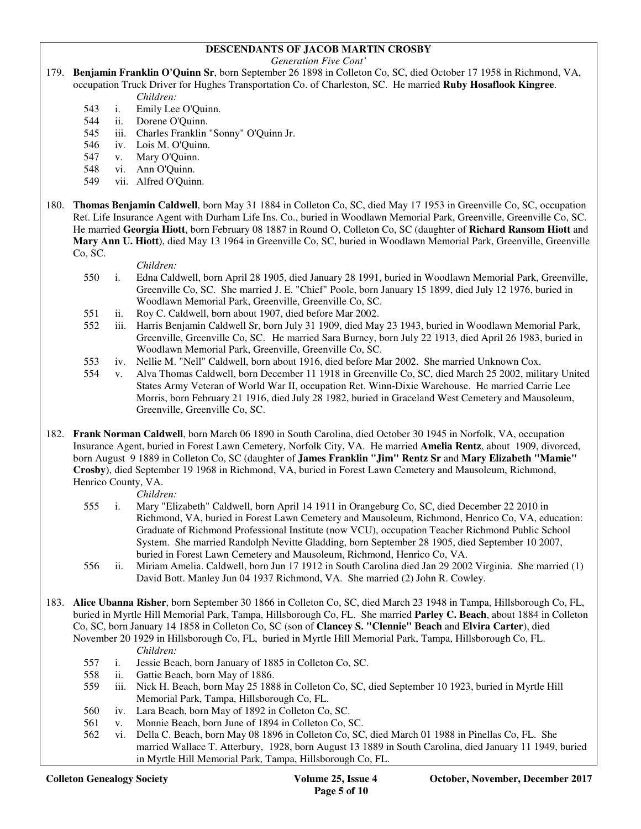# **DESCENDANTS OF JACOB MARTIN CROSBY**

*Generation Five Cont'* 

179. **Benjamin Franklin O'Quinn Sr**, born September 26 1898 in Colleton Co, SC, died October 17 1958 in Richmond, VA, occupation Truck Driver for Hughes Transportation Co. of Charleston, SC. He married **Ruby Hosaflook Kingree**.

*Children:*

- 543 i. Emily Lee O'Quinn.
- 544 ii. Dorene O'Quinn.
- 545 iii. Charles Franklin "Sonny" O'Quinn Jr.
- 546 iv. Lois M. O'Quinn.
- 547 v. Mary O'Quinn.
- 548 vi. Ann O'Quinn.
- 549 vii. Alfred O'Quinn.
- 180. **Thomas Benjamin Caldwell**, born May 31 1884 in Colleton Co, SC, died May 17 1953 in Greenville Co, SC, occupation Ret. Life Insurance Agent with Durham Life Ins. Co., buried in Woodlawn Memorial Park, Greenville, Greenville Co, SC. He married **Georgia Hiott**, born February 08 1887 in Round O, Colleton Co, SC (daughter of **Richard Ransom Hiott** and **Mary Ann U. Hiott**), died May 13 1964 in Greenville Co, SC, buried in Woodlawn Memorial Park, Greenville, Greenville Co, SC.

*Children:*

- 550 i. Edna Caldwell, born April 28 1905, died January 28 1991, buried in Woodlawn Memorial Park, Greenville, Greenville Co, SC. She married J. E. "Chief" Poole, born January 15 1899, died July 12 1976, buried in Woodlawn Memorial Park, Greenville, Greenville Co, SC.
- 551 ii. Roy C. Caldwell, born about 1907, died before Mar 2002.
- 552 iii. Harris Benjamin Caldwell Sr, born July 31 1909, died May 23 1943, buried in Woodlawn Memorial Park, Greenville, Greenville Co, SC. He married Sara Burney, born July 22 1913, died April 26 1983, buried in Woodlawn Memorial Park, Greenville, Greenville Co, SC.
- 553 iv. Nellie M. "Nell" Caldwell, born about 1916, died before Mar 2002. She married Unknown Cox.
- 554 v. Alva Thomas Caldwell, born December 11 1918 in Greenville Co, SC, died March 25 2002, military United States Army Veteran of World War II, occupation Ret. Winn-Dixie Warehouse. He married Carrie Lee Morris, born February 21 1916, died July 28 1982, buried in Graceland West Cemetery and Mausoleum, Greenville, Greenville Co, SC.
- 182. **Frank Norman Caldwell**, born March 06 1890 in South Carolina, died October 30 1945 in Norfolk, VA, occupation Insurance Agent, buried in Forest Lawn Cemetery, Norfolk City, VA. He married **Amelia Rentz**, about 1909, divorced, born August 9 1889 in Colleton Co, SC (daughter of **James Franklin "Jim" Rentz Sr** and **Mary Elizabeth "Mamie" Crosby**), died September 19 1968 in Richmond, VA, buried in Forest Lawn Cemetery and Mausoleum, Richmond, Henrico County, VA.

- 555 i. Mary "Elizabeth" Caldwell, born April 14 1911 in Orangeburg Co, SC, died December 22 2010 in Richmond, VA, buried in Forest Lawn Cemetery and Mausoleum, Richmond, Henrico Co, VA, education: Graduate of Richmond Professional Institute (now VCU), occupation Teacher Richmond Public School System. She married Randolph Nevitte Gladding, born September 28 1905, died September 10 2007, buried in Forest Lawn Cemetery and Mausoleum, Richmond, Henrico Co, VA.
- 556 ii. Miriam Amelia. Caldwell, born Jun 17 1912 in South Carolina died Jan 29 2002 Virginia. She married (1) David Bott. Manley Jun 04 1937 Richmond, VA. She married (2) John R. Cowley.
- 183. **Alice Ubanna Risher**, born September 30 1866 in Colleton Co, SC, died March 23 1948 in Tampa, Hillsborough Co, FL, buried in Myrtle Hill Memorial Park, Tampa, Hillsborough Co, FL. She married **Parley C. Beach**, about 1884 in Colleton Co, SC, born January 14 1858 in Colleton Co, SC (son of **Clancey S. "Clennie" Beach** and **Elvira Carter**), died November 20 1929 in Hillsborough Co, FL, buried in Myrtle Hill Memorial Park, Tampa, Hillsborough Co, FL.
	- *Children:*<br>557 i. Jessie Bea i. Jessie Beach, born January of 1885 in Colleton Co, SC.
	- 558 ii. Gattie Beach, born May of 1886.
	- 559 iii. Nick H. Beach, born May 25 1888 in Colleton Co, SC, died September 10 1923, buried in Myrtle Hill Memorial Park, Tampa, Hillsborough Co, FL.
	- 560 iv. Lara Beach, born May of 1892 in Colleton Co, SC.
	- 561 v. Monnie Beach, born June of 1894 in Colleton Co, SC.
	- 562 vi. Della C. Beach, born May 08 1896 in Colleton Co, SC, died March 01 1988 in Pinellas Co, FL. She married Wallace T. Atterbury, 1928, born August 13 1889 in South Carolina, died January 11 1949, buried in Myrtle Hill Memorial Park, Tampa, Hillsborough Co, FL.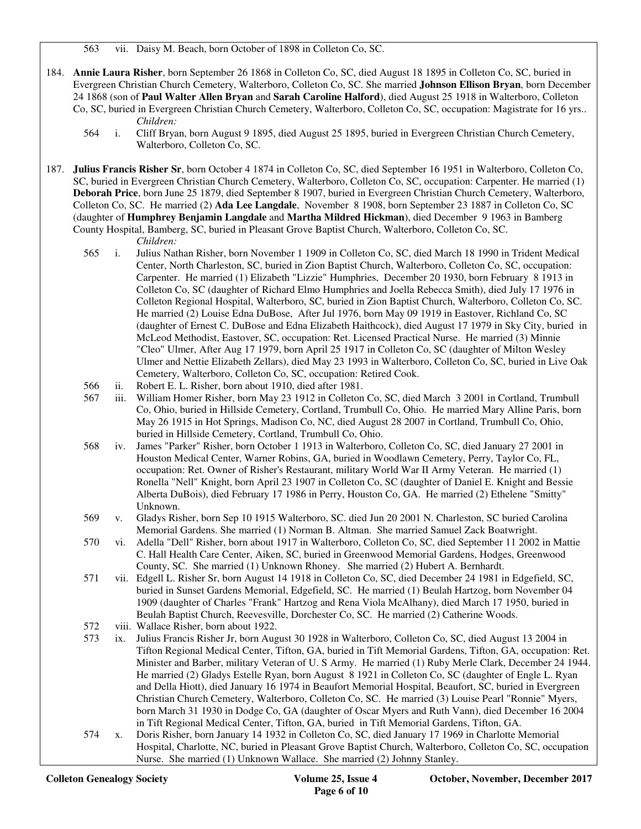563 vii. Daisy M. Beach, born October of 1898 in Colleton Co, SC.

- 184. **Annie Laura Risher**, born September 26 1868 in Colleton Co, SC, died August 18 1895 in Colleton Co, SC, buried in Evergreen Christian Church Cemetery, Walterboro, Colleton Co, SC. She married **Johnson Ellison Bryan**, born December 24 1868 (son of **Paul Walter Allen Bryan** and **Sarah Caroline Halford**), died August 25 1918 in Walterboro, Colleton Co, SC, buried in Evergreen Christian Church Cemetery, Walterboro, Colleton Co, SC, occupation: Magistrate for 16 yrs.. *Children:*
	- 564 i. Cliff Bryan, born August 9 1895, died August 25 1895, buried in Evergreen Christian Church Cemetery, Walterboro, Colleton Co, SC.
- 187. **Julius Francis Risher Sr**, born October 4 1874 in Colleton Co, SC, died September 16 1951 in Walterboro, Colleton Co, SC, buried in Evergreen Christian Church Cemetery, Walterboro, Colleton Co, SC, occupation: Carpenter. He married (1) **Deborah Price**, born June 25 1879, died September 8 1907, buried in Evergreen Christian Church Cemetery, Walterboro, Colleton Co, SC. He married (2) **Ada Lee Langdale**, November 8 1908, born September 23 1887 in Colleton Co, SC (daughter of **Humphrey Benjamin Langdale** and **Martha Mildred Hickman**), died December 9 1963 in Bamberg County Hospital, Bamberg, SC, buried in Pleasant Grove Baptist Church, Walterboro, Colleton Co, SC.

- 565 i. Julius Nathan Risher, born November 1 1909 in Colleton Co, SC, died March 18 1990 in Trident Medical Center, North Charleston, SC, buried in Zion Baptist Church, Walterboro, Colleton Co, SC, occupation: Carpenter. He married (1) Elizabeth "Lizzie" Humphries, December 20 1930, born February 8 1913 in Colleton Co, SC (daughter of Richard Elmo Humphries and Joella Rebecca Smith), died July 17 1976 in Colleton Regional Hospital, Walterboro, SC, buried in Zion Baptist Church, Walterboro, Colleton Co, SC. He married (2) Louise Edna DuBose, After Jul 1976, born May 09 1919 in Eastover, Richland Co, SC (daughter of Ernest C. DuBose and Edna Elizabeth Haithcock), died August 17 1979 in Sky City, buried in McLeod Methodist, Eastover, SC, occupation: Ret. Licensed Practical Nurse. He married (3) Minnie "Cleo" Ulmer, After Aug 17 1979, born April 25 1917 in Colleton Co, SC (daughter of Milton Wesley Ulmer and Nettie Elizabeth Zellars), died May 23 1993 in Walterboro, Colleton Co, SC, buried in Live Oak Cemetery, Walterboro, Colleton Co, SC, occupation: Retired Cook.
- 566 ii. Robert E. L. Risher, born about 1910, died after 1981.
- 567 iii. William Homer Risher, born May 23 1912 in Colleton Co, SC, died March 3 2001 in Cortland, Trumbull Co, Ohio, buried in Hillside Cemetery, Cortland, Trumbull Co, Ohio. He married Mary Alline Paris, born May 26 1915 in Hot Springs, Madison Co, NC, died August 28 2007 in Cortland, Trumbull Co, Ohio, buried in Hillside Cemetery, Cortland, Trumbull Co, Ohio.
- 568 iv. James "Parker" Risher, born October 1 1913 in Walterboro, Colleton Co, SC, died January 27 2001 in Houston Medical Center, Warner Robins, GA, buried in Woodlawn Cemetery, Perry, Taylor Co, FL, occupation: Ret. Owner of Risher's Restaurant, military World War II Army Veteran. He married (1) Ronella "Nell" Knight, born April 23 1907 in Colleton Co, SC (daughter of Daniel E. Knight and Bessie Alberta DuBois), died February 17 1986 in Perry, Houston Co, GA. He married (2) Ethelene "Smitty" Unknown.
- 569 v. Gladys Risher, born Sep 10 1915 Walterboro, SC. died Jun 20 2001 N. Charleston, SC buried Carolina Memorial Gardens. She married (1) Norman B. Altman. She married Samuel Zack Boatwright.
- 570 vi. Adella "Dell" Risher, born about 1917 in Walterboro, Colleton Co, SC, died September 11 2002 in Mattie C. Hall Health Care Center, Aiken, SC, buried in Greenwood Memorial Gardens, Hodges, Greenwood County, SC. She married (1) Unknown Rhoney. She married (2) Hubert A. Bernhardt.
- 571 vii. Edgell L. Risher Sr, born August 14 1918 in Colleton Co, SC, died December 24 1981 in Edgefield, SC, buried in Sunset Gardens Memorial, Edgefield, SC. He married (1) Beulah Hartzog, born November 04 1909 (daughter of Charles "Frank" Hartzog and Rena Viola McAlhany), died March 17 1950, buried in Beulah Baptist Church, Reevesville, Dorchester Co, SC. He married (2) Catherine Woods.
- 572 viii. Wallace Risher, born about 1922.
- 573 ix. Julius Francis Risher Jr, born August 30 1928 in Walterboro, Colleton Co, SC, died August 13 2004 in Tifton Regional Medical Center, Tifton, GA, buried in Tift Memorial Gardens, Tifton, GA, occupation: Ret. Minister and Barber, military Veteran of U. S Army. He married (1) Ruby Merle Clark, December 24 1944. He married (2) Gladys Estelle Ryan, born August 8 1921 in Colleton Co, SC (daughter of Engle L. Ryan and Della Hiott), died January 16 1974 in Beaufort Memorial Hospital, Beaufort, SC, buried in Evergreen Christian Church Cemetery, Walterboro, Colleton Co, SC. He married (3) Louise Pearl "Ronnie" Myers, born March 31 1930 in Dodge Co, GA (daughter of Oscar Myers and Ruth Vann), died December 16 2004 in Tift Regional Medical Center, Tifton, GA, buried in Tift Memorial Gardens, Tifton, GA.
- 574 x. Doris Risher, born January 14 1932 in Colleton Co, SC, died January 17 1969 in Charlotte Memorial Hospital, Charlotte, NC, buried in Pleasant Grove Baptist Church, Walterboro, Colleton Co, SC, occupation Nurse. She married (1) Unknown Wallace. She married (2) Johnny Stanley.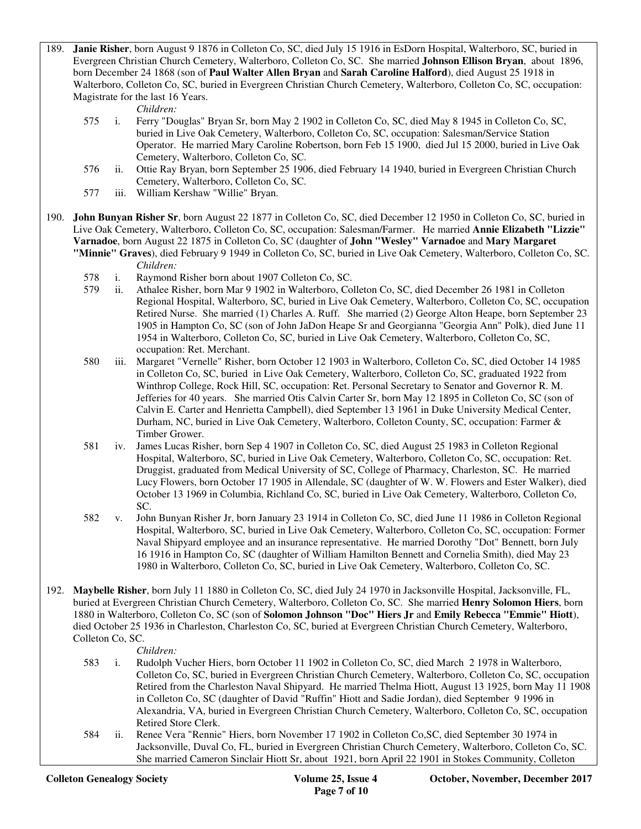189. **Janie Risher**, born August 9 1876 in Colleton Co, SC, died July 15 1916 in EsDorn Hospital, Walterboro, SC, buried in Evergreen Christian Church Cemetery, Walterboro, Colleton Co, SC. She married **Johnson Ellison Bryan**, about 1896, born December 24 1868 (son of **Paul Walter Allen Bryan** and **Sarah Caroline Halford**), died August 25 1918 in Walterboro, Colleton Co, SC, buried in Evergreen Christian Church Cemetery, Walterboro, Colleton Co, SC, occupation: Magistrate for the last 16 Years.

- 575 i. Ferry "Douglas" Bryan Sr, born May 2 1902 in Colleton Co, SC, died May 8 1945 in Colleton Co, SC, buried in Live Oak Cemetery, Walterboro, Colleton Co, SC, occupation: Salesman/Service Station Operator. He married Mary Caroline Robertson, born Feb 15 1900, died Jul 15 2000, buried in Live Oak Cemetery, Walterboro, Colleton Co, SC.
- 576 ii. Ottie Ray Bryan, born September 25 1906, died February 14 1940, buried in Evergreen Christian Church Cemetery, Walterboro, Colleton Co, SC.
- 577 iii. William Kershaw "Willie" Bryan.
- 190. **John Bunyan Risher Sr**, born August 22 1877 in Colleton Co, SC, died December 12 1950 in Colleton Co, SC, buried in Live Oak Cemetery, Walterboro, Colleton Co, SC, occupation: Salesman/Farmer. He married **Annie Elizabeth "Lizzie" Varnadoe**, born August 22 1875 in Colleton Co, SC (daughter of **John "Wesley" Varnadoe** and **Mary Margaret** 
	- **"Minnie" Graves**), died February 9 1949 in Colleton Co, SC, buried in Live Oak Cemetery, Walterboro, Colleton Co, SC. *Children:*
		- 578 i. Raymond Risher born about 1907 Colleton Co, SC.
		- 579 ii. Athalee Risher, born Mar 9 1902 in Walterboro, Colleton Co, SC, died December 26 1981 in Colleton Regional Hospital, Walterboro, SC, buried in Live Oak Cemetery, Walterboro, Colleton Co, SC, occupation Retired Nurse. She married (1) Charles A. Ruff. She married (2) George Alton Heape, born September 23 1905 in Hampton Co, SC (son of John JaDon Heape Sr and Georgianna "Georgia Ann" Polk), died June 11 1954 in Walterboro, Colleton Co, SC, buried in Live Oak Cemetery, Walterboro, Colleton Co, SC, occupation: Ret. Merchant.
		- 580 iii. Margaret "Vernelle" Risher, born October 12 1903 in Walterboro, Colleton Co, SC, died October 14 1985 in Colleton Co, SC, buried in Live Oak Cemetery, Walterboro, Colleton Co, SC, graduated 1922 from Winthrop College, Rock Hill, SC, occupation: Ret. Personal Secretary to Senator and Governor R. M. Jefferies for 40 years. She married Otis Calvin Carter Sr, born May 12 1895 in Colleton Co, SC (son of Calvin E. Carter and Henrietta Campbell), died September 13 1961 in Duke University Medical Center, Durham, NC, buried in Live Oak Cemetery, Walterboro, Colleton County, SC, occupation: Farmer & Timber Grower.
		- 581 iv. James Lucas Risher, born Sep 4 1907 in Colleton Co, SC, died August 25 1983 in Colleton Regional Hospital, Walterboro, SC, buried in Live Oak Cemetery, Walterboro, Colleton Co, SC, occupation: Ret. Druggist, graduated from Medical University of SC, College of Pharmacy, Charleston, SC. He married Lucy Flowers, born October 17 1905 in Allendale, SC (daughter of W. W. Flowers and Ester Walker), died October 13 1969 in Columbia, Richland Co, SC, buried in Live Oak Cemetery, Walterboro, Colleton Co, SC.
		- 582 v. John Bunyan Risher Jr, born January 23 1914 in Colleton Co, SC, died June 11 1986 in Colleton Regional Hospital, Walterboro, SC, buried in Live Oak Cemetery, Walterboro, Colleton Co, SC, occupation: Former Naval Shipyard employee and an insurance representative. He married Dorothy "Dot" Bennett, born July 16 1916 in Hampton Co, SC (daughter of William Hamilton Bennett and Cornelia Smith), died May 23 1980 in Walterboro, Colleton Co, SC, buried in Live Oak Cemetery, Walterboro, Colleton Co, SC.
- 192. **Maybelle Risher**, born July 11 1880 in Colleton Co, SC, died July 24 1970 in Jacksonville Hospital, Jacksonville, FL, buried at Evergreen Christian Church Cemetery, Walterboro, Colleton Co, SC. She married **Henry Solomon Hiers**, born 1880 in Walterboro, Colleton Co, SC (son of **Solomon Johnson "Doc" Hiers Jr** and **Emily Rebecca "Emmie" Hiott**), died October 25 1936 in Charleston, Charleston Co, SC, buried at Evergreen Christian Church Cemetery, Walterboro, Colleton Co, SC.

- *Children:*<br>583 i. Rudolph V i. Rudolph Vucher Hiers, born October 11 1902 in Colleton Co, SC, died March 2 1978 in Walterboro, Colleton Co, SC, buried in Evergreen Christian Church Cemetery, Walterboro, Colleton Co, SC, occupation Retired from the Charleston Naval Shipyard. He married Thelma Hiott, August 13 1925, born May 11 1908 in Colleton Co, SC (daughter of David "Ruffin" Hiott and Sadie Jordan), died September 9 1996 in Alexandria, VA, buried in Evergreen Christian Church Cemetery, Walterboro, Colleton Co, SC, occupation Retired Store Clerk.
- 584 ii. Renee Vera "Rennie" Hiers, born November 17 1902 in Colleton Co,SC, died September 30 1974 in Jacksonville, Duval Co, FL, buried in Evergreen Christian Church Cemetery, Walterboro, Colleton Co, SC. She married Cameron Sinclair Hiott Sr, about 1921, born April 22 1901 in Stokes Community, Colleton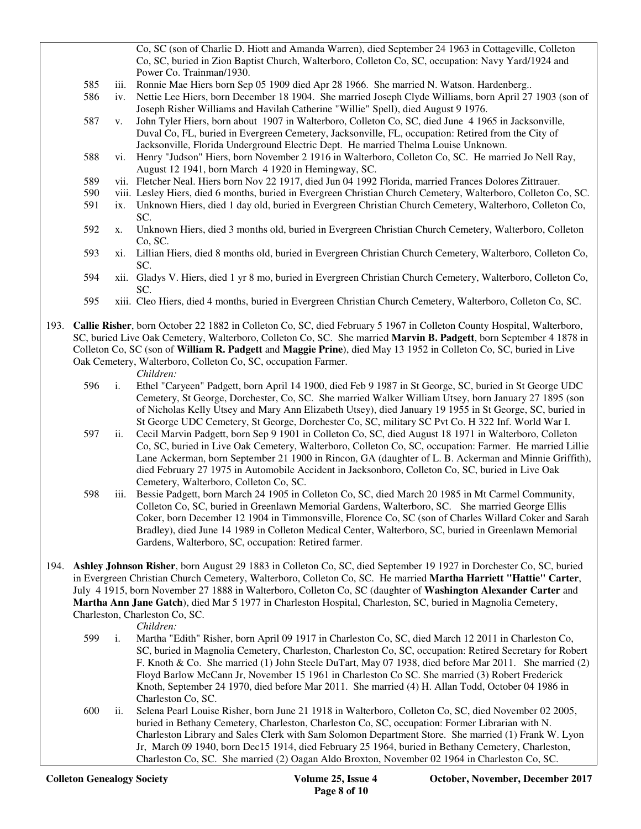Co, SC (son of Charlie D. Hiott and Amanda Warren), died September 24 1963 in Cottageville, Colleton Co, SC, buried in Zion Baptist Church, Walterboro, Colleton Co, SC, occupation: Navy Yard/1924 and Power Co. Trainman/1930.

- 585 iii. Ronnie Mae Hiers born Sep 05 1909 died Apr 28 1966. She married N. Watson. Hardenberg..
- 586 iv. Nettie Lee Hiers, born December 18 1904. She married Joseph Clyde Williams, born April 27 1903 (son of Joseph Risher Williams and Havilah Catherine "Willie" Spell), died August 9 1976.
- 587 v. John Tyler Hiers, born about 1907 in Walterboro, Colleton Co, SC, died June 4 1965 in Jacksonville, Duval Co, FL, buried in Evergreen Cemetery, Jacksonville, FL, occupation: Retired from the City of Jacksonville, Florida Underground Electric Dept. He married Thelma Louise Unknown.
- 588 vi. Henry "Judson" Hiers, born November 2 1916 in Walterboro, Colleton Co, SC. He married Jo Nell Ray, August 12 1941, born March 4 1920 in Hemingway, SC.
- 589 vii. Fletcher Neal. Hiers born Nov 22 1917, died Jun 04 1992 Florida, married Frances Dolores Zittrauer.
- 590 viii. Lesley Hiers, died 6 months, buried in Evergreen Christian Church Cemetery, Walterboro, Colleton Co, SC.
- 591 ix. Unknown Hiers, died 1 day old, buried in Evergreen Christian Church Cemetery, Walterboro, Colleton Co, SC.
- 592 x. Unknown Hiers, died 3 months old, buried in Evergreen Christian Church Cemetery, Walterboro, Colleton Co, SC.
- 593 xi. Lillian Hiers, died 8 months old, buried in Evergreen Christian Church Cemetery, Walterboro, Colleton Co, SC.
- 594 xii. Gladys V. Hiers, died 1 yr 8 mo, buried in Evergreen Christian Church Cemetery, Walterboro, Colleton Co, SC.
- 595 xiii. Cleo Hiers, died 4 months, buried in Evergreen Christian Church Cemetery, Walterboro, Colleton Co, SC.
- 193. **Callie Risher**, born October 22 1882 in Colleton Co, SC, died February 5 1967 in Colleton County Hospital, Walterboro, SC, buried Live Oak Cemetery, Walterboro, Colleton Co, SC. She married **Marvin B. Padgett**, born September 4 1878 in Colleton Co, SC (son of **William R. Padgett** and **Maggie Prine**), died May 13 1952 in Colleton Co, SC, buried in Live Oak Cemetery, Walterboro, Colleton Co, SC, occupation Farmer.

- *Children:*<br>596 i. Ethel "Car 596 i. Ethel "Caryeen" Padgett, born April 14 1900, died Feb 9 1987 in St George, SC, buried in St George UDC Cemetery, St George, Dorchester, Co, SC. She married Walker William Utsey, born January 27 1895 (son of Nicholas Kelly Utsey and Mary Ann Elizabeth Utsey), died January 19 1955 in St George, SC, buried in St George UDC Cemetery, St George, Dorchester Co, SC, military SC Pvt Co. H 322 Inf. World War I.
- 597 ii. Cecil Marvin Padgett, born Sep 9 1901 in Colleton Co, SC, died August 18 1971 in Walterboro, Colleton Co, SC, buried in Live Oak Cemetery, Walterboro, Colleton Co, SC, occupation: Farmer. He married Lillie Lane Ackerman, born September 21 1900 in Rincon, GA (daughter of L. B. Ackerman and Minnie Griffith), died February 27 1975 in Automobile Accident in Jacksonboro, Colleton Co, SC, buried in Live Oak Cemetery, Walterboro, Colleton Co, SC.
- 598 iii. Bessie Padgett, born March 24 1905 in Colleton Co, SC, died March 20 1985 in Mt Carmel Community, Colleton Co, SC, buried in Greenlawn Memorial Gardens, Walterboro, SC. She married George Ellis Coker, born December 12 1904 in Timmonsville, Florence Co, SC (son of Charles Willard Coker and Sarah Bradley), died June 14 1989 in Colleton Medical Center, Walterboro, SC, buried in Greenlawn Memorial Gardens, Walterboro, SC, occupation: Retired farmer.
- 194. **Ashley Johnson Risher**, born August 29 1883 in Colleton Co, SC, died September 19 1927 in Dorchester Co, SC, buried in Evergreen Christian Church Cemetery, Walterboro, Colleton Co, SC. He married **Martha Harriett "Hattie" Carter**, July 4 1915, born November 27 1888 in Walterboro, Colleton Co, SC (daughter of **Washington Alexander Carter** and **Martha Ann Jane Gatch**), died Mar 5 1977 in Charleston Hospital, Charleston, SC, buried in Magnolia Cemetery, Charleston, Charleston Co, SC.

- 599 i. Martha "Edith" Risher, born April 09 1917 in Charleston Co, SC, died March 12 2011 in Charleston Co, SC, buried in Magnolia Cemetery, Charleston, Charleston Co, SC, occupation: Retired Secretary for Robert F. Knoth & Co. She married (1) John Steele DuTart, May 07 1938, died before Mar 2011. She married (2) Floyd Barlow McCann Jr, November 15 1961 in Charleston Co SC. She married (3) Robert Frederick Knoth, September 24 1970, died before Mar 2011. She married (4) H. Allan Todd, October 04 1986 in Charleston Co, SC.
- 600 ii. Selena Pearl Louise Risher, born June 21 1918 in Walterboro, Colleton Co, SC, died November 02 2005, buried in Bethany Cemetery, Charleston, Charleston Co, SC, occupation: Former Librarian with N. Charleston Library and Sales Clerk with Sam Solomon Department Store. She married (1) Frank W. Lyon Jr, March 09 1940, born Dec15 1914, died February 25 1964, buried in Bethany Cemetery, Charleston, Charleston Co, SC. She married (2) Oagan Aldo Broxton, November 02 1964 in Charleston Co, SC.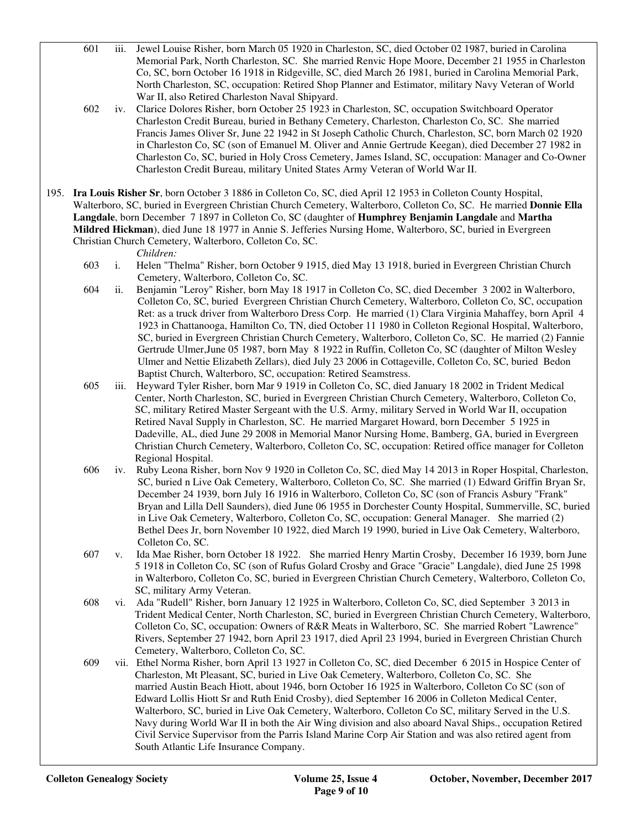- 601 iii. Jewel Louise Risher, born March 05 1920 in Charleston, SC, died October 02 1987, buried in Carolina Memorial Park, North Charleston, SC. She married Renvic Hope Moore, December 21 1955 in Charleston Co, SC, born October 16 1918 in Ridgeville, SC, died March 26 1981, buried in Carolina Memorial Park, North Charleston, SC, occupation: Retired Shop Planner and Estimator, military Navy Veteran of World War II, also Retired Charleston Naval Shipyard.
- 602 iv. Clarice Dolores Risher, born October 25 1923 in Charleston, SC, occupation Switchboard Operator Charleston Credit Bureau, buried in Bethany Cemetery, Charleston, Charleston Co, SC. She married Francis James Oliver Sr, June 22 1942 in St Joseph Catholic Church, Charleston, SC, born March 02 1920 in Charleston Co, SC (son of Emanuel M. Oliver and Annie Gertrude Keegan), died December 27 1982 in Charleston Co, SC, buried in Holy Cross Cemetery, James Island, SC, occupation: Manager and Co-Owner Charleston Credit Bureau, military United States Army Veteran of World War II.
- 195. **Ira Louis Risher Sr**, born October 3 1886 in Colleton Co, SC, died April 12 1953 in Colleton County Hospital, Walterboro, SC, buried in Evergreen Christian Church Cemetery, Walterboro, Colleton Co, SC. He married **Donnie Ella Langdale**, born December 7 1897 in Colleton Co, SC (daughter of **Humphrey Benjamin Langdale** and **Martha Mildred Hickman**), died June 18 1977 in Annie S. Jefferies Nursing Home, Walterboro, SC, buried in Evergreen Christian Church Cemetery, Walterboro, Colleton Co, SC.

- 603 i. Helen "Thelma" Risher, born October 9 1915, died May 13 1918, buried in Evergreen Christian Church Cemetery, Walterboro, Colleton Co, SC.
- 604 ii. Benjamin "Leroy" Risher, born May 18 1917 in Colleton Co, SC, died December 3 2002 in Walterboro, Colleton Co, SC, buried Evergreen Christian Church Cemetery, Walterboro, Colleton Co, SC, occupation Ret: as a truck driver from Walterboro Dress Corp. He married (1) Clara Virginia Mahaffey, born April 4 1923 in Chattanooga, Hamilton Co, TN, died October 11 1980 in Colleton Regional Hospital, Walterboro, SC, buried in Evergreen Christian Church Cemetery, Walterboro, Colleton Co, SC. He married (2) Fannie Gertrude Ulmer,June 05 1987, born May 8 1922 in Ruffin, Colleton Co, SC (daughter of Milton Wesley Ulmer and Nettie Elizabeth Zellars), died July 23 2006 in Cottageville, Colleton Co, SC, buried Bedon Baptist Church, Walterboro, SC, occupation: Retired Seamstress.
- 605 iii. Heyward Tyler Risher, born Mar 9 1919 in Colleton Co, SC, died January 18 2002 in Trident Medical Center, North Charleston, SC, buried in Evergreen Christian Church Cemetery, Walterboro, Colleton Co, SC, military Retired Master Sergeant with the U.S. Army, military Served in World War II, occupation Retired Naval Supply in Charleston, SC. He married Margaret Howard, born December 5 1925 in Dadeville, AL, died June 29 2008 in Memorial Manor Nursing Home, Bamberg, GA, buried in Evergreen Christian Church Cemetery, Walterboro, Colleton Co, SC, occupation: Retired office manager for Colleton Regional Hospital.
- 606 iv. Ruby Leona Risher, born Nov 9 1920 in Colleton Co, SC, died May 14 2013 in Roper Hospital, Charleston, SC, buried n Live Oak Cemetery, Walterboro, Colleton Co, SC. She married (1) Edward Griffin Bryan Sr, December 24 1939, born July 16 1916 in Walterboro, Colleton Co, SC (son of Francis Asbury "Frank" Bryan and Lilla Dell Saunders), died June 06 1955 in Dorchester County Hospital, Summerville, SC, buried in Live Oak Cemetery, Walterboro, Colleton Co, SC, occupation: General Manager. She married (2) Bethel Dees Jr, born November 10 1922, died March 19 1990, buried in Live Oak Cemetery, Walterboro, Colleton Co, SC.<br>607 v. Ida Mae Risher, b
- v. Ida Mae Risher, born October 18 1922. She married Henry Martin Crosby, December 16 1939, born June 5 1918 in Colleton Co, SC (son of Rufus Golard Crosby and Grace "Gracie" Langdale), died June 25 1998 in Walterboro, Colleton Co, SC, buried in Evergreen Christian Church Cemetery, Walterboro, Colleton Co, SC, military Army Veteran.
- 608 vi. Ada "Rudell" Risher, born January 12 1925 in Walterboro, Colleton Co, SC, died September 3 2013 in Trident Medical Center, North Charleston, SC, buried in Evergreen Christian Church Cemetery, Walterboro, Colleton Co, SC, occupation: Owners of R&R Meats in Walterboro, SC. She married Robert "Lawrence" Rivers, September 27 1942, born April 23 1917, died April 23 1994, buried in Evergreen Christian Church Cemetery, Walterboro, Colleton Co, SC.<br>609 vii. Ethel Norma Risher, born April 13 1927
- vii. Ethel Norma Risher, born April 13 1927 in Colleton Co, SC, died December 6 2015 in Hospice Center of Charleston, Mt Pleasant, SC, buried in Live Oak Cemetery, Walterboro, Colleton Co, SC. She married Austin Beach Hiott, about 1946, born October 16 1925 in Walterboro, Colleton Co SC (son of Edward Lollis Hiott Sr and Ruth Enid Crosby), died September 16 2006 in Colleton Medical Center, Walterboro, SC, buried in Live Oak Cemetery, Walterboro, Colleton Co SC, military Served in the U.S. Navy during World War II in both the Air Wing division and also aboard Naval Ships., occupation Retired Civil Service Supervisor from the Parris Island Marine Corp Air Station and was also retired agent from South Atlantic Life Insurance Company.